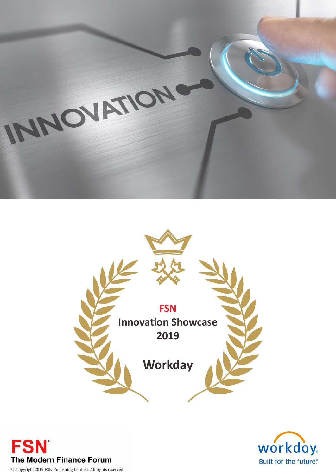





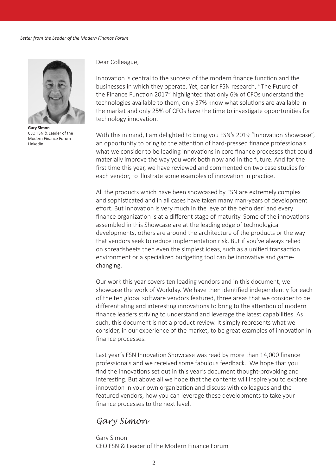

**Gary Simon** CEO FSN & Leader of the Modern Finance Forum LinkedIn

Dear Colleague,

Innovation is central to the success of the modern finance function and the businesses in which they operate. Yet, earlier FSN research, "The Future of the Finance Function 2017" highlighted that only 6% of CFOs understand the technologies available to them, only 37% know what solutions are available in the market and only 25% of CFOs have the time to investigate opportunities for technology innovation.

With this in mind, I am delighted to bring you FSN's 2019 "Innovation Showcase", an opportunity to bring to the attention of hard-pressed finance professionals what we consider to be leading innovations in core finance processes that could materially improve the way you work both now and in the future. And for the first time this year, we have reviewed and commented on two case studies for each vendor, to illustrate some examples of innovation in practice.

All the products which have been showcased by FSN are extremely complex and sophisticated and in all cases have taken many man-years of development effort. But innovation is very much in the 'eye of the beholder' and every finance organization is at a different stage of maturity. Some of the innovations assembled in this Showcase are at the leading edge of technological developments, others are around the architecture of the products or the way that vendors seek to reduce implementation risk. But if you've always relied on spreadsheets then even the simplest ideas, such as a unified transaction environment or a specialized budgeting tool can be innovative and gamechanging.

Our work this year covers ten leading vendors and in this document, we showcase the work of Workday. We have then identified independently for each of the ten global software vendors featured, three areas that we consider to be differentiating and interesting innovations to bring to the attention of modern finance leaders striving to understand and leverage the latest capabilities. As such, this document is not a product review. It simply represents what we consider, in our experience of the market, to be great examples of innovation in finance processes.

Last year's FSN Innovation Showcase was read by more than 14,000 finance professionals and we received some fabulous feedback. We hope that you find the innovations set out in this year's document thought-provoking and interesting. But above all we hope that the contents will inspire you to explore innovation in your own organization and discuss with colleagues and the featured vendors, how you can leverage these developments to take your finance processes to the next level.

# *Gary Simon*

Gary Simon CEO FSN & Leader of the Modern Finance Forum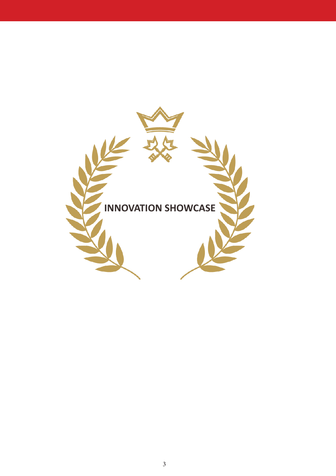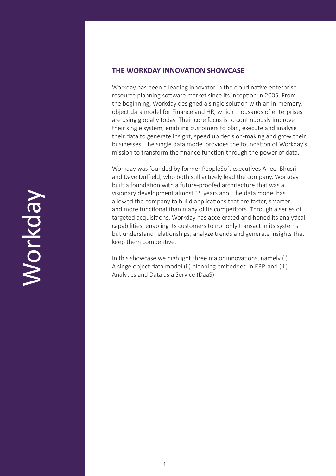# **THE WORKDAY INNOVATION SHOWCASE**

Workday has been a leading innovator in the cloud native enterprise resource planning software market since its inception in 2005. From the beginning, Workday designed a single solution with an in-memory, object data model for Finance and HR, which thousands of enterprises are using globally today. Their core focus is to continuously improve their single system, enabling customers to plan, execute and analyse their data to generate insight, speed up decision-making and grow their businesses. The single data model provides the foundation of Workday's mission to transform the finance function through the power of data.

Workday was founded by former PeopleSoft executives Aneel Bhusri and Dave Duffield, who both still actively lead the company. Workday built a foundation with a future-proofed architecture that was a visionary development almost 15 years ago. The data model has allowed the company to build applications that are faster, smarter and more functional than many of its competitors. Through a series of targeted acquisitions, Workday has accelerated and honed its analytical capabilities, enabling its customers to not only transact in its systems but understand relationships, analyze trends and generate insights that keep them competitive.

In this showcase we highlight three major innovations, namely (i) A singe object data model (ii) planning embedded in ERP, and (iii) Analytics and Data as a Service (DaaS)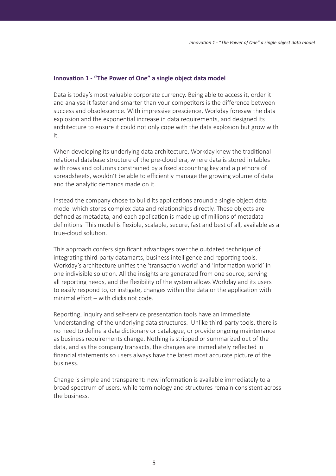### **Innovation 1 - "The Power of One" a single object data model**

Data is today's most valuable corporate currency. Being able to access it, order it and analyse it faster and smarter than your competitors is the difference between success and obsolescence. With impressive prescience, Workday foresaw the data explosion and the exponential increase in data requirements, and designed its architecture to ensure it could not only cope with the data explosion but grow with it.

When developing its underlying data architecture, Workday knew the traditional relational database structure of the pre-cloud era, where data is stored in tables with rows and columns constrained by a fixed accounting key and a plethora of spreadsheets, wouldn't be able to efficiently manage the growing volume of data and the analytic demands made on it.

Instead the company chose to build its applications around a single object data model which stores complex data and relationships directly. These objects are defined as metadata, and each application is made up of millions of metadata definitions. This model is flexible, scalable, secure, fast and best of all, available as a true-cloud solution.

This approach confers significant advantages over the outdated technique of integrating third-party datamarts, business intelligence and reporting tools. Workday's architecture unifies the 'transaction world' and 'information world' in one indivisible solution. All the insights are generated from one source, serving all reporting needs, and the flexibility of the system allows Workday and its users to easily respond to, or instigate, changes within the data or the application with minimal effort – with clicks not code.

Reporting, inquiry and self-service presentation tools have an immediate 'understanding' of the underlying data structures. Unlike third-party tools, there is no need to define a data dictionary or catalogue, or provide ongoing maintenance as business requirements change. Nothing is stripped or summarized out of the data, and as the company transacts, the changes are immediately reflected in financial statements so users always have the latest most accurate picture of the business.

Change is simple and transparent: new information is available immediately to a broad spectrum of users, while terminology and structures remain consistent across the business.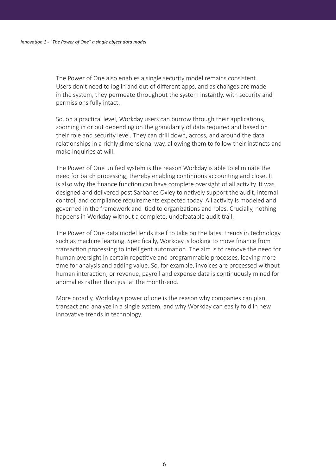The Power of One also enables a single security model remains consistent. Users don't need to log in and out of different apps, and as changes are made in the system, they permeate throughout the system instantly, with security and permissions fully intact.

So, on a practical level, Workday users can burrow through their applications, zooming in or out depending on the granularity of data required and based on their role and security level. They can drill down, across, and around the data relationships in a richly dimensional way, allowing them to follow their instincts and make inquiries at will.

The Power of One unified system is the reason Workday is able to eliminate the need for batch processing, thereby enabling continuous accounting and close. It is also why the finance function can have complete oversight of all activity. It was designed and delivered post Sarbanes Oxley to natively support the audit, internal control, and compliance requirements expected today. All activity is modeled and governed in the framework and tied to organizations and roles. Crucially, nothing happens in Workday without a complete, undefeatable audit trail.

The Power of One data model lends itself to take on the latest trends in technology such as machine learning. Specifically, Workday is looking to move finance from transaction processing to intelligent automation. The aim is to remove the need for human oversight in certain repetitive and programmable processes, leaving more time for analysis and adding value. So, for example, invoices are processed without human interaction; or revenue, payroll and expense data is continuously mined for anomalies rather than just at the month-end.

More broadly, Workday's power of one is the reason why companies can plan, transact and analyze in a single system, and why Workday can easily fold in new innovative trends in technology.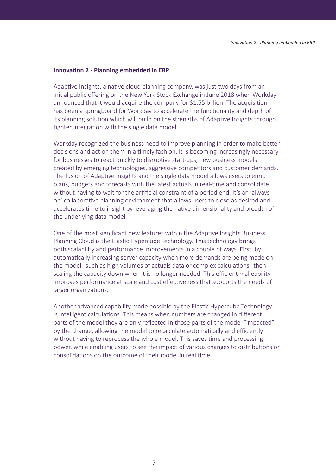### **Innovation 2 - Planning embedded in ERP**

Adaptive Insights, a native cloud planning company, was just two days from an initial public offering on the New York Stock Exchange in June 2018 when Workday announced that it would acquire the company for \$1.55 billion. The acquisition has been a springboard for Workday to accelerate the functionality and depth of its planning solution which will build on the strengths of Adaptive Insights through tighter integration with the single data model.

Workday recognized the business need to improve planning in order to make better decisions and act on them in a timely fashion. It is becoming increasingly necessary for businesses to react quickly to disruptive start-ups, new business models created by emerging technologies, aggressive competitors and customer demands. The fusion of Adaptive Insights and the single data model allows users to enrich plans, budgets and forecasts with the latest actuals in real-time and consolidate without having to wait for the artificial constraint of a period end. It's an 'always on' collaborative planning environment that allows users to close as desired and accelerates time to insight by leveraging the native dimensionality and breadth of the underlying data model.

One of the most significant new features within the Adaptive Insights Business Planning Cloud is the Elastic Hypercube Technology. This technology brings both scalability and performance improvements in a couple of ways. First, by automatically increasing server capacity when more demands are being made on the model--such as high volumes of actuals data or complex calculations--then scaling the capacity down when it is no longer needed. This efficient malleability improves performance at scale and cost effectiveness that supports the needs of larger organizations.

Another advanced capability made possible by the Elastic Hypercube Technology is intelligent calculations. This means when numbers are changed in different parts of the model they are only reflected in those parts of the model "impacted" by the change, allowing the model to recalculate automatically and efficiently without having to reprocess the whole model. This saves time and processing power, while enabling users to see the impact of various changes to distributions or consolidations on the outcome of their model in real time.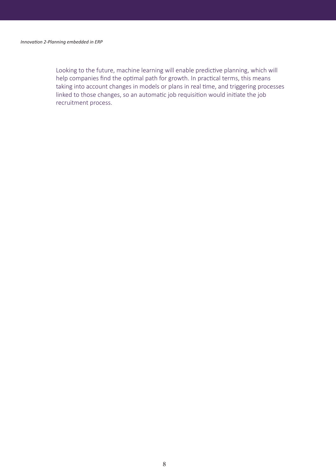Looking to the future, machine learning will enable predictive planning, which will help companies find the optimal path for growth. In practical terms, this means taking into account changes in models or plans in real time, and triggering processes linked to those changes, so an automatic job requisition would initiate the job recruitment process.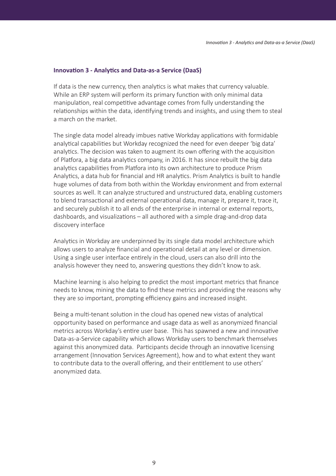### **Innovation 3 - Analytics and Data-as-a Service (DaaS)**

If data is the new currency, then analytics is what makes that currency valuable. While an ERP system will perform its primary function with only minimal data manipulation, real competitive advantage comes from fully understanding the relationships within the data, identifying trends and insights, and using them to steal a march on the market.

The single data model already imbues native Workday applications with formidable analytical capabilities but Workday recognized the need for even deeper 'big data' analytics. The decision was taken to augment its own offering with the acquisition of Platfora, a big data analytics company, in 2016. It has since rebuilt the big data analytics capabilities from Platfora into its own architecture to produce Prism Analytics, a data hub for financial and HR analytics. Prism Analytics is built to handle huge volumes of data from both within the Workday environment and from external sources as well. It can analyze structured and unstructured data, enabling customers to blend transactional and external operational data, manage it, prepare it, trace it, and securely publish it to all ends of the enterprise in internal or external reports, dashboards, and visualizations – all authored with a simple drag-and-drop data discovery interface

Analytics in Workday are underpinned by its single data model architecture which allows users to analyze financial and operational detail at any level or dimension. Using a single user interface entirely in the cloud, users can also drill into the analysis however they need to, answering questions they didn't know to ask.

Machine learning is also helping to predict the most important metrics that finance needs to know, mining the data to find these metrics and providing the reasons why they are so important, prompting efficiency gains and increased insight.

Being a multi-tenant solution in the cloud has opened new vistas of analytical opportunity based on performance and usage data as well as anonymized financial metrics across Workday's entire user base. This has spawned a new and innovative Data-as-a-Service capability which allows Workday users to benchmark themselves against this anonymized data. Participants decide through an innovative licensing arrangement (Innovation Services Agreement), how and to what extent they want to contribute data to the overall offering, and their entitlement to use others' anonymized data.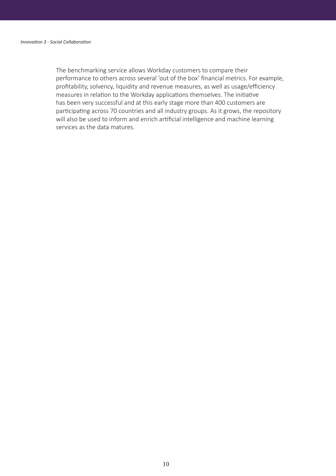The benchmarking service allows Workday customers to compare their performance to others across several 'out of the box' financial metrics. For example, profitability, solvency, liquidity and revenue measures, as well as usage/efficiency measures in relation to the Workday applications themselves. The initiative has been very successful and at this early stage more than 400 customers are participating across 70 countries and all industry groups. As it grows, the repository will also be used to inform and enrich artificial intelligence and machine learning services as the data matures.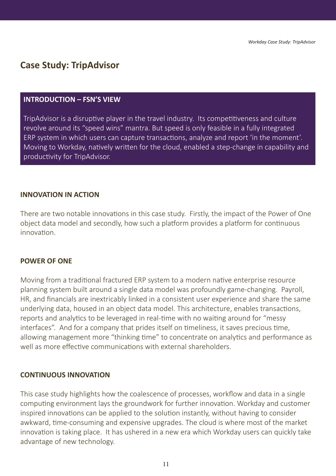# **Case Study: TripAdvisor**

## **INTRODUCTION – FSN'S VIEW**

TripAdvisor is a disruptive player in the travel industry. Its competitiveness and culture revolve around its "speed wins" mantra. But speed is only feasible in a fully integrated ERP system in which users can capture transactions, analyze and report 'in the moment'. Moving to Workday, natively written for the cloud, enabled a step-change in capability and productivity for TripAdvisor.

## **INNOVATION IN ACTION**

There are two notable innovations in this case study. Firstly, the impact of the Power of One object data model and secondly, how such a platform provides a platform for continuous innovation.

# **POWER OF ONE**

Moving from a traditional fractured ERP system to a modern native enterprise resource planning system built around a single data model was profoundly game-changing. Payroll, HR, and financials are inextricably linked in a consistent user experience and share the same underlying data, housed in an object data model. This architecture, enables transactions, reports and analytics to be leveraged in real-time with no waiting around for "messy interfaces". And for a company that prides itself on timeliness, it saves precious time, allowing management more "thinking time" to concentrate on analytics and performance as well as more effective communications with external shareholders.

# **CONTINUOUS INNOVATION**

This case study highlights how the coalescence of processes, workflow and data in a single computing environment lays the groundwork for further innovation. Workday and customer inspired innovations can be applied to the solution instantly, without having to consider awkward, time-consuming and expensive upgrades. The cloud is where most of the market innovation is taking place. It has ushered in a new era which Workday users can quickly take advantage of new technology.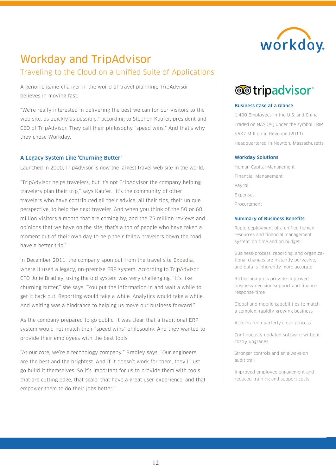

# Workday and TripAdvisor

# Traveling to the Cloud on a Unified Suite of Applications

A genuine game-changer in the world of travel planning, TripAdvisor believes in moving fast.

"We're really interested in delivering the best we can for our visitors to the web site, as quickly as possible," according to Stephen Kaufer, president and CEO of TripAdvisor. They call their philosophy "speed wins." And that's why they chose Workday.

### A Legacy System Like 'Churning Butter'

Launched in 2000, TripAdvisor is now the largest travel web site in the world.

"TripAdvisor helps travelers, but it's not TripAdvisor the company helping travelers plan their trip," says Kaufer. "It's the community of other travelers who have contributed all their advice, all their tips, their unique perspective, to help the next traveler. And when you think of the 50 or 60 million visitors a month that are coming by, and the 75 million reviews and opinions that we have on the site, that's a ton of people who have taken a moment out of their own day to help their fellow travelers down the road have a better trip."

In December 2011, the company spun out from the travel site Expedia, where it used a legacy, on-premise ERP system. According to TripAdvisor CFO Julie Bradley, using the old system was very challenging. "It's like churning butter," she says. "You put the information in and wait a while to get it back out. Reporting would take a while. Analytics would take a while. And waiting was a hindrance to helping us move our business forward."

As the company prepared to go public, it was clear that a traditional ERP system would not match their "speed wins" philosophy. And they wanted to provide their employees with the best tools.

"At our core, we're a technology company," Bradley says. "Our engineers are the best and the brightest. And if it doesn't work for them, they'll just go build it themselves. So it's important for us to provide them with tools that are cutting edge, that scale, that have a great user experience, and that empower them to do their jobs better."

# **@@tripadvisor**®

### Business Case at a Glance

1,400 Employees in the U.S. and China Traded on NASDAQ under the symbol TRIP \$637 Million in Revenue (2011) Headquartered in Newton, Massachusetts

#### Workday Solutions

Human Capital Management Financial Management Payroll Expenses Procurement

#### Summary of Business Benefits

Rapid deployment of a unified human resources and financial management system, on time and on budget

Business-process, reporting, and organizational changes are instantly pervasive, and data is inherently more accurate

Richer analytics provide improved business-decision support and finance response time

Global and mobile capabilities to match a complex, rapidly growing business

Accelerated quarterly close process

Continuously updated software without costly upgrades

Stronger controls and an always-on audit trail

Improved employee engagement and reduced training and support costs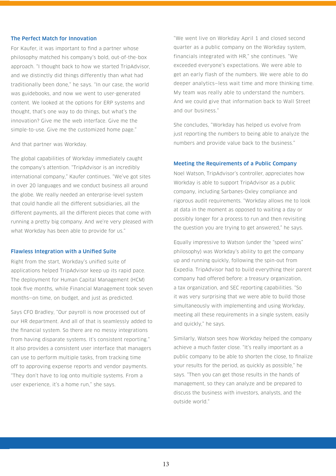#### The Perfect Match for Innovation

For Kaufer, it was important to find a partner whose philosophy matched his company's bold, out-of-the-box approach. "I thought back to how we started TripAdvisor, and we distinctly did things differently than what had traditionally been done," he says. "In our case, the world was guidebooks, and now we went to user-generated content. We looked at the options for ERP systems and thought, that's one way to do things, but what's the innovation? Give me the web interface. Give me the simple-to-use. Give me the customized home page."

And that partner was Workday.

The global capabilities of Workday immediately caught the company's attention. "TripAdvisor is an incredibly international company," Kaufer continues. "We've got sites in over 20 languages and we conduct business all around the globe. We really needed an enterprise-level system that could handle all the different subsidiaries, all the different payments, all the different pieces that come with running a pretty big company. And we're very pleased with what Workday has been able to provide for us."

#### Flawless Integration with a Unified Suite

Right from the start, Workday's unified suite of applications helped TripAdvisor keep up its rapid pace. The deployment for Human Capital Management (HCM) took five months, while Financial Management took seven months—on time, on budget, and just as predicted.

Says CFO Bradley, "Our payroll is now processed out of our HR department. And all of that is seamlessly added to the financial system. So there are no messy integrations from having disparate systems. It's consistent reporting." It also provides a consistent user interface that managers can use to perform multiple tasks, from tracking time off to approving expense reports and vendor payments. "They don't have to log onto multiple systems. From a user experience, it's a home run," she says.

"We went live on Workday April 1 and closed second quarter as a public company on the Workday system, financials integrated with HR," she continues. "We exceeded everyone's expectations. We were able to get an early flash of the numbers. We were able to do deeper analytics—less wait time and more thinking time. My team was really able to understand the numbers. And we could give that information back to Wall Street and our business."

She concludes, "Workday has helped us evolve from just reporting the numbers to being able to analyze the numbers and provide value back to the business."

#### Meeting the Requirements of a Public Company

Noel Watson, TripAdvisor's controller, appreciates how Workday is able to support TripAdvisor as a public company, including Sarbanes-Oxley compliance and rigorous audit requirements. "Workday allows me to look at data in the moment as opposed to waiting a day or possibly longer for a process to run and then revisiting the question you are trying to get answered," he says.

Equally impressive to Watson (under the "speed wins" philosophy) was Workday's ability to get the company up and running quickly, following the spin-out from Expedia. TripAdvisor had to build everything their parent company had offered before: a treasury organization, a tax organization, and SEC reporting capabilities. "So it was very surprising that we were able to build those simultaneously with implementing and using Workday, meeting all these requirements in a single system, easily and quickly," he says.

Similarly, Watson sees how Workday helped the company achieve a much faster close. "It's really important as a public company to be able to shorten the close, to finalize your results for the period, as quickly as possible," he says. "Then you can get those results in the hands of management, so they can analyze and be prepared to discuss the business with investors, analysts, and the outside world."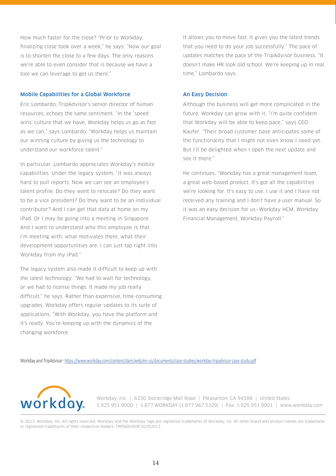How much faster for the close? "Prior to Workday, finalizing close took over a week," he says. "Now our goal is to shorten the close to a few days. The only reasons we're able to even consider that is because we have a tool we can leverage to get us there."

### Mobile Capabilities for a Global Workforce

Eric Lombardo, TripAdvisor's senior director of human resources, echoes the same sentiment. "In the 'speed wins' culture that we have. Workday helps us go as fast as we can," says Lombardo. "Workday helps us maintain our winning culture by giving us the technology to understand our workforce talent."

In particular, Lombardo appreciates Workday's mobile capabilities. Under the legacy system, "it was always hard to pull reports. Now we can see an employee's talent profile. Do they want to relocate? Do they want to be a vice president? Do they want to be an individual contributor? And I can get that data at home on my iPad. Or I may be going into a meeting in Singapore. And I want to understand who this employee is that I'm meeting with, what motivates them, what their development opportunities are. I can just tap right into Workday from my iPad."

The legacy system also made it difficult to keep up with the latest technology. "We had to wait for technology, or we had to license things. It made my job really difficult," he says. Rather than expensive, time-consuming upgrades, Workday offers regular updates to its suite of applications. "With Workday, you have the platform and it's ready. You're keeping up with the dynamics of the changing workforce.

It allows you to move fast. It gives you the latest trends that you need to do your job successfully." The pace of updates matches the pace of the TripAdvisor business. "It doesn't make HR look old school. We're keeping up in real time," Lombardo says.

#### An Easy Decision

Although the business will get more complicated in the future, Workday can grow with it. "I'm quite confident that Workday will be able to keep pace" says CEO Kaufer. "Their broad customer base anticipates some of the functionality that I might not even know I need yet. But I'll be delighted when I open the next update and see it there."

He continues, "Workday has a great management team, a great web-based product. It's got all the capabilities we're looking for. It's easy to use. I use it and I have not received any training and I don't have a user manual. So it was an easy decision for us—Workday HCM, Workday Financial Management, Workday Payroll."

Workday and TripAdvisor: <https://www.workday.com/content/dam/web/en-us/documents/case-studies/workday-tripadvisor-case-study.pdf>



Workday, Inc. | 6230 Stoneridge Mall Road | Pleasanton, CA 94588 | United States 1.925.951.9000 | 1.877.WORKDAY (1.877.967.5329) | Fax: 1.925.951.9001 | www.workday.com

© 2013. Workday, Inc. All rights reserved. Workday and the Workday logo are registered trademarks of Workday, Inc. All other brand and product names are trademarks or registered trademarks of their respective holders. TRIPADVISOR-02202013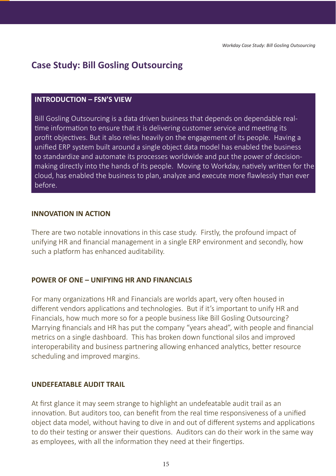# **Case Study: Bill Gosling Outsourcing**

# **INTRODUCTION – FSN'S VIEW**

Bill Gosling Outsourcing is a data driven business that depends on dependable realtime information to ensure that it is delivering customer service and meeting its profit objectives. But it also relies heavily on the engagement of its people. Having a unified ERP system built around a single object data model has enabled the business to standardize and automate its processes worldwide and put the power of decisionmaking directly into the hands of its people. Moving to Workday, natively written for the cloud, has enabled the business to plan, analyze and execute more flawlessly than ever before.

## **INNOVATION IN ACTION**

There are two notable innovations in this case study. Firstly, the profound impact of unifying HR and financial management in a single ERP environment and secondly, how such a platform has enhanced auditability.

# **POWER OF ONE – UNIFYING HR AND FINANCIALS**

For many organizations HR and Financials are worlds apart, very often housed in different vendors applications and technologies. But if it's important to unify HR and Financials, how much more so for a people business like Bill Gosling Outsourcing? Marrying financials and HR has put the company "years ahead", with people and financial metrics on a single dashboard. This has broken down functional silos and improved interoperability and business partnering allowing enhanced analytics, better resource scheduling and improved margins.

# **UNDEFEATABLE AUDIT TRAIL**

At first glance it may seem strange to highlight an undefeatable audit trail as an innovation. But auditors too, can benefit from the real time responsiveness of a unified object data model, without having to dive in and out of different systems and applications to do their testing or answer their questions. Auditors can do their work in the same way as employees, with all the information they need at their fingertips.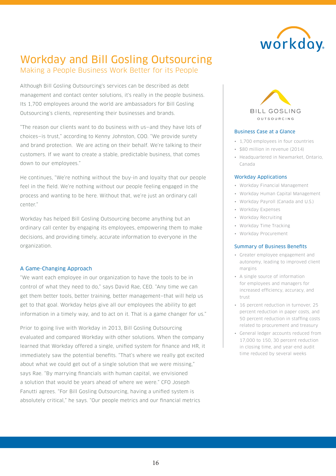

# Workday and Bill Gosling Outsourcing Making a People Business Work Better for its People

Although Bill Gosling Outsourcing's services can be described as debt

management and contact center solutions, it's really in the people business. Its 1,700 employees around the world are ambassadors for Bill Gosling Outsourcing's clients, representing their businesses and brands.

"The reason our clients want to do business with us—and they have lots of choices—is trust," according to Kenny Johnston, COO. "We provide surety and brand protection. We are acting on their behalf. We're talking to their customers. If we want to create a stable, predictable business, that comes down to our employees."

He continues, "We're nothing without the buy-in and loyalty that our people feel in the field. We're nothing without our people feeling engaged in the process and wanting to be here. Without that, we're just an ordinary call center."

Workday has helped Bill Gosling Outsourcing become anything but an ordinary call center by engaging its employees, empowering them to make decisions, and providing timely, accurate information to everyone in the organization.

### A Game-Changing Approach

"We want each employee in our organization to have the tools to be in control of what they need to do," says David Rae, CEO. "Any time we can get them better tools, better training, better management—that will help us get to that goal. Workday helps give all our employees the ability to get information in a timely way, and to act on it. That is a game changer for us."

Prior to going live with Workday in 2013, Bill Gosling Outsourcing evaluated and compared Workday with other solutions. When the company learned that Workday offered a single, unified system for finance and HR, it immediately saw the potential benefits. "That's where we really got excited about what we could get out of a single solution that we were missing," says Rae. "By marrying financials with human capital, we envisioned a solution that would be years ahead of where we were." CFO Joseph Fanutti agrees. "For Bill Gosling Outsourcing, having a unified system is absolutely critical," he says. "Our people metrics and our financial metrics



#### Business Case at a Glance

- 1,700 employees in four countries
- \$80 million in revenue (2014)
- Headquartered in Newmarket, Ontario, Canada

### Workday Applications

- Workday Financial Management
- Workday Human Capital Management
- Workday Payroll (Canada and U.S.)
- Workday Expenses
- Workday Recruiting
- Workday Time Tracking
- Workday Procurement

### Summary of Business Benefits

- Greater employee engagement and autonomy, leading to improved client margins
- A single source of information for employees and managers for increased efficiency, accuracy, and trust
- 16 percent reduction in turnover, 25 percent reduction in paper costs, and 50 percent reduction in staffing costs related to procurement and treasury
- General ledger accounts reduced from 17,000 to 150, 30 percent reduction in closing time, and year-end audit time reduced by several weeks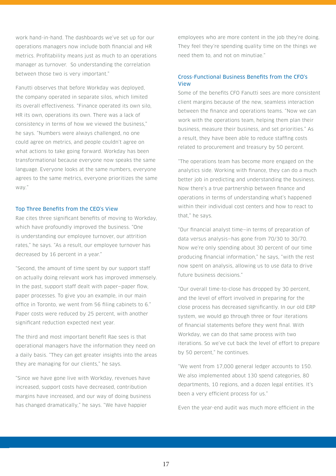work hand-in-hand. The dashboards we've set up for our operations managers now include both financial and HR metrics. Profitability means just as much to an operations manager as turnover. So understanding the correlation between those two is very important."

Fanutti observes that before Workday was deployed, the company operated in separate silos, which limited its overall effectiveness. "Finance operated its own silo, HR its own, operations its own. There was a lack of consistency in terms of how we viewed the business," he says. "Numbers were always challenged, no one could agree on metrics, and people couldn't agree on what actions to take going forward. Workday has been transformational because everyone now speaks the same language. Everyone looks at the same numbers, everyone agrees to the same metrics, everyone prioritizes the same way."

#### Top Three Benefits from the CEO's View

Rae cites three significant benefits of moving to Workday, which have profoundly improved the business. "One is understanding our employee turnover, our attrition rates," he says. "As a result, our employee turnover has decreased by 16 percent in a year."

"Second, the amount of time spent by our support staff on actually doing relevant work has improved immensely. In the past, support staff dealt with paper—paper flow, paper processes. To give you an example, in our main office in Toronto, we went from 56 filing cabinets to 6." Paper costs were reduced by 25 percent, with another significant reduction expected next year.

The third and most important benefit Rae sees is that operational managers have the information they need on a daily basis. "They can get greater insights into the areas they are managing for our clients," he says.

"Since we have gone live with Workday, revenues have increased, support costs have decreased, contribution margins have increased, and our way of doing business has changed dramatically," he says. "We have happier

employees who are more content in the job they're doing. They feel they're spending quality time on the things we need them to, and not on minutiae."

### Cross-Functional Business Benefits from the CFO's View

Some of the benefits CFO Fanutti sees are more consistent client margins because of the new, seamless interaction between the finance and operations teams. "Now we can work with the operations team, helping them plan their business, measure their business, and set priorities." As a result, they have been able to reduce staffing costs related to procurement and treasury by 50 percent.

"The operations team has become more engaged on the analytics side. Working with finance, they can do a much better job in predicting and understanding the business. Now there's a true partnership between finance and operations in terms of understanding what's happened within their individual cost centers and how to react to that," he says.

"Our financial analyst time—in terms of preparation of data versus analysis—has gone from 70/30 to 30/70. Now we're only spending about 30 percent of our time producing financial information," he says, "with the rest now spent on analysis, allowing us to use data to drive future business decisions."

"Our overall time-to-close has dropped by 30 percent, and the level of effort involved in preparing for the close process has decreased significantly. In our old ERP system, we would go through three or four iterations of financial statements before they went final. With Workday, we can do that same process with two iterations. So we've cut back the level of effort to prepare by 50 percent," he continues.

"We went from 17,000 general ledger accounts to 150. We also implemented about 130 spend categories, 80 departments, 10 regions, and a dozen legal entities. It's been a very efficient process for us."

Even the year-end audit was much more efficient in the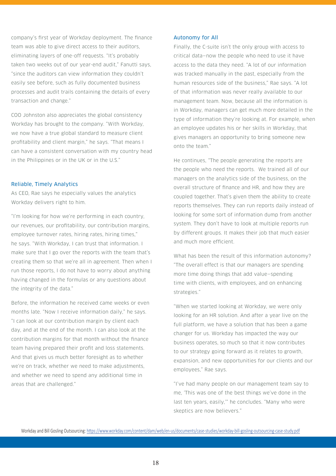company's first year of Workday deployment. The finance team was able to give direct access to their auditors, eliminating layers of one-off requests. "It's probably taken two weeks out of our year-end audit," Fanutti says, "since the auditors can view information they couldn't easily see before, such as fully documented business processes and audit trails containing the details of every transaction and change."

COO Johnston also appreciates the global consistency Workday has brought to the company. "With Workday, we now have a true global standard to measure client profitability and client margin," he says. "That means I can have a consistent conversation with my country head in the Philippines or in the UK or in the U.S."

#### Reliable, Timely Analytics

As CEO, Rae says he especially values the analytics Workday delivers right to him.

"I'm looking for how we're performing in each country, our revenues, our profitability, our contribution margins, employee turnover rates, hiring rates, hiring times," he says. "With Workday, I can trust that information. I make sure that I go over the reports with the team that's creating them so that we're all in agreement. Then when I run those reports, I do not have to worry about anything having changed in the formulas or any questions about the integrity of the data."

Before, the information he received came weeks or even months late. "Now I receive information daily," he says. "I can look at our contribution margin by client each day, and at the end of the month. I can also look at the contribution margins for that month without the finance team having prepared their profit and loss statements. And that gives us much better foresight as to whether we're on track, whether we need to make adjustments, and whether we need to spend any additional time in areas that are challenged."

#### Autonomy for All

Finally, the C-suite isn't the only group with access to critical data—now the people who need to use it have access to the data they need. "A lot of our information was tracked manually in the past, especially from the human resources side of the business," Rae says. "A lot of that information was never really available to our management team. Now, because all the information is in Workday, managers can get much more detailed in the type of information they're looking at. For example, when an employee updates his or her skills in Workday, that gives managers an opportunity to bring someone new onto the team."

He continues, "The people generating the reports are the people who need the reports. We trained all of our managers on the analytics side of the business, on the overall structure of finance and HR, and how they are coupled together. That's given them the ability to create reports themselves. They can run reports daily instead of looking for some sort of information dump from another system. They don't have to look at multiple reports run by different groups. It makes their job that much easier and much more efficient.

What has been the result of this information autonomy? "The overall effect is that our managers are spending more time doing things that add value—spending time with clients, with employees, and on enhancing strategies."

"When we started looking at Workday, we were only looking for an HR solution. And after a year live on the full platform, we have a solution that has been a game changer for us. Workday has impacted the way our business operates, so much so that it now contributes to our strategy going forward as it relates to growth, expansion, and new opportunities for our clients and our employees," Rae says.

"I've had many people on our management team say to me, 'This was one of the best things we've done in the last ten years, easily,'" he concludes. "Many who were skeptics are now believers."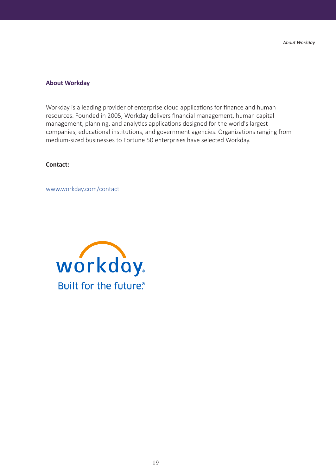### **About Workday**

Workday is a leading provider of enterprise cloud applications for finance and human resources. Founded in 2005, Workday delivers financial management, human capital management, planning, and analytics applications designed for the world's largest companies, educational institutions, and government agencies. Organizations ranging from medium-sized businesses to Fortune 50 enterprises have selected Workday.

## **Contact:**

www.workday.com/contact